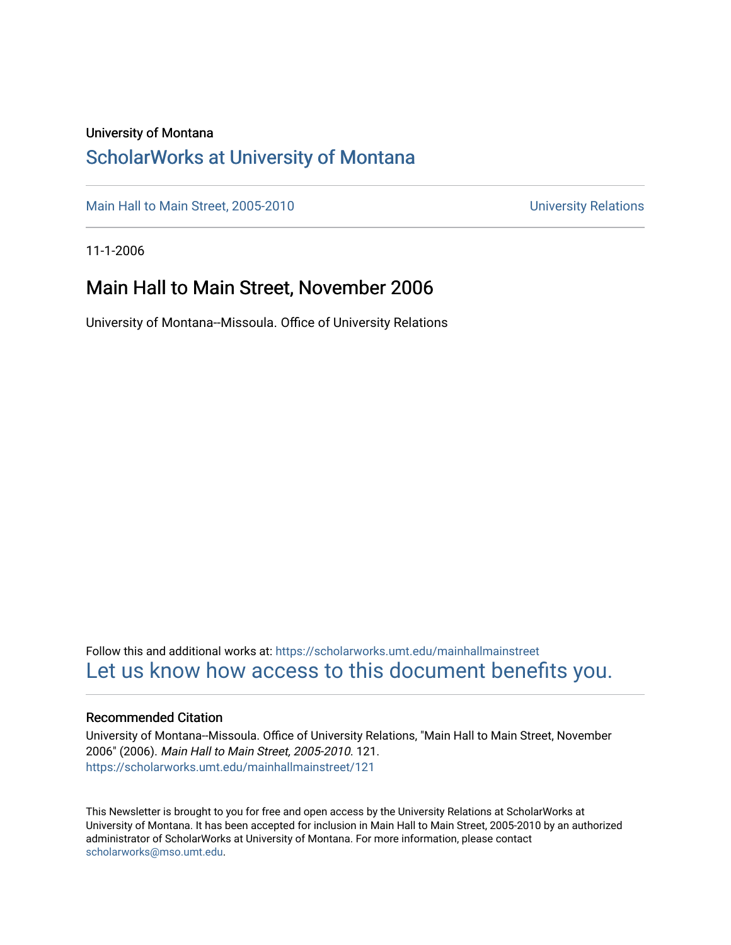#### University of Montana

### [ScholarWorks at University of Montana](https://scholarworks.umt.edu/)

[Main Hall to Main Street, 2005-2010](https://scholarworks.umt.edu/mainhallmainstreet) Main Hall to Main Street, 2005-2010

11-1-2006

### Main Hall to Main Street, November 2006

University of Montana--Missoula. Office of University Relations

Follow this and additional works at: [https://scholarworks.umt.edu/mainhallmainstreet](https://scholarworks.umt.edu/mainhallmainstreet?utm_source=scholarworks.umt.edu%2Fmainhallmainstreet%2F121&utm_medium=PDF&utm_campaign=PDFCoverPages) [Let us know how access to this document benefits you.](https://goo.gl/forms/s2rGfXOLzz71qgsB2) 

#### Recommended Citation

University of Montana--Missoula. Office of University Relations, "Main Hall to Main Street, November 2006" (2006). Main Hall to Main Street, 2005-2010. 121. [https://scholarworks.umt.edu/mainhallmainstreet/121](https://scholarworks.umt.edu/mainhallmainstreet/121?utm_source=scholarworks.umt.edu%2Fmainhallmainstreet%2F121&utm_medium=PDF&utm_campaign=PDFCoverPages)

This Newsletter is brought to you for free and open access by the University Relations at ScholarWorks at University of Montana. It has been accepted for inclusion in Main Hall to Main Street, 2005-2010 by an authorized administrator of ScholarWorks at University of Montana. For more information, please contact [scholarworks@mso.umt.edu.](mailto:scholarworks@mso.umt.edu)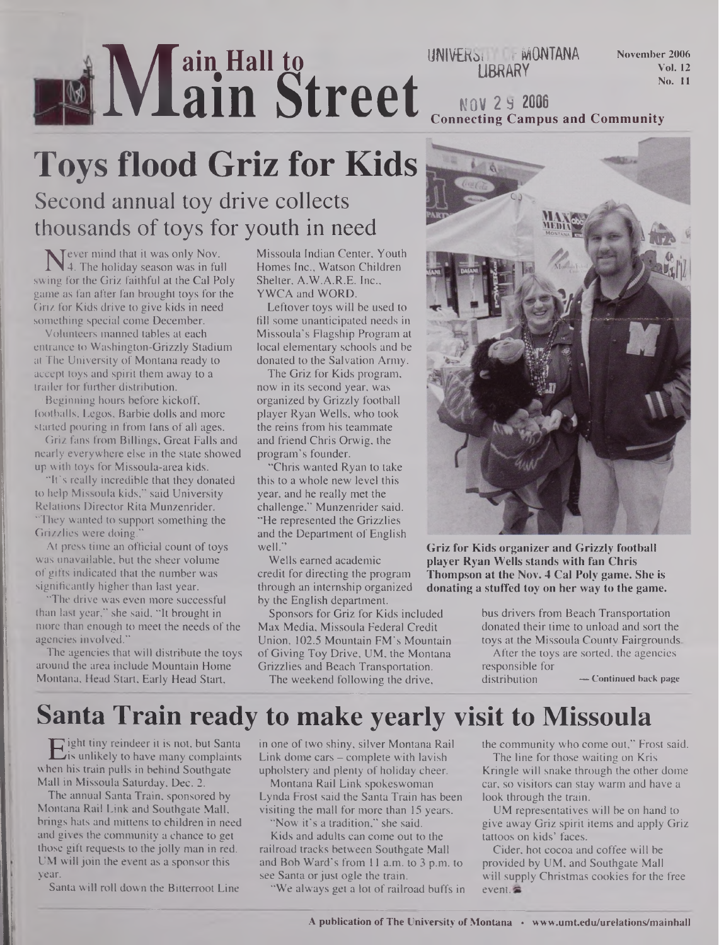## **M ain Hall to ain Street**

UNIVERSITY **MONTANA LIBRARY**

**November 2006 Vol. 12 No. 11**

**NOV 2 9 2006 Connecting Campus and Community**

# **Toys flood Griz for Kids**

### Second annual toy drive collects thousands of toys for youth in need

Never mind that it was only Nov.<br>swing for the Griz faithful at the Cal Poly Tever mind that it was only Nov. 4. The holiday season was in full game as fan after fan brought toys for the Griz for Kids drive to give kids in need something special come December.

Volunteers manned tables at each entrance to Washington-Grizzly Stadium at The University of Montana ready to accept toys and spirit them away to a trailer for further distribution.

Beginning hours before kickoff, footballs, Legos, Barbie dolls and more started pouring in from fans of all ages.

Griz fans from Billings, Great Falls and nearly everywhere else in the state showed up with toys for Missoula-area kids.

"It's really incredible that they donated to help Missoula kids," said University Relations Director Rita Munzenrider. "They wanted to support something the Grizzlies were doing."

At press time an official count of toys was unavailable, but the sheer volume of gifts indicated that the number was significantly higher than last year.

"The drive was even more successful than last year," she said, "It brought in more than enough to meet the needs of the agencies involved."

The agencies that will distribute the toys around the area include Mountain Home Montana, Head Start, Early Head Start,

Missoula Indian Center, Youth Homes Inc., Watson Children Shelter, A.W.A.R.E. Inc., YWCA and WORD.

Leftover toys will be used to fill some unanticipated needs in Missoula's Flagship Program at local elementary schools and be donated to the Salvation Army.

The Griz for Kids program, now in its second year, was organized by Grizzly football player Ryan Wells, who took the reins from his teammate and friend Chris Orwig, the program's founder.

"Chris wanted Ryan to take this to a whole new level this year, and he really met the challenge," Munzenrider said. "He represented the Grizzlies and the Department of English well."

Wells earned academic credit for directing the program through an internship organized by the English department.

Sponsors for Griz for Kids included Max Media, Missoula Federal Credit Union, 102.5 Mountain FM's Mountain of Giving Toy Drive, UM, the Montana Grizzlies and Beach Transportation. The weekend following the drive,

**Griz for Kids organizer and Grizzly football player Ryan Wells stands with fan Chris Thompson at the Nov. 4 Cal Poly game. She is donating a stuffed toy on her way to the game.**

> bus drivers from Beach Transportation donated their time to unload and sort the toys at the Missoula County Fairgrounds

After the toys are sorted, the agencies responsible for

 $-$  **Continued** back page

### **Santa Train ready to make yearly visit to Missoula**

Eight tiny reindeer it is not, but Santa<br>is unlikely to have many complaints<br>in his train pulls in behind Southgate is unlikely to have many complaints when his train pulls in behind Southgate Mall in Missoula Saturday, Dec. 2.

The annual Santa Train, sponsored by Montana Rail Link and Southgate Mall, brings hats and mittens to children in need and gives the community a chance to get those gift requests to the jolly man in red. UM will join the event as a sponsor this year.

Santa will roll down the Bitterroot Line

in one of two shiny, silver Montana Rail Link dome cars — complete with lavish upholstery and plenty of holiday cheer.

Montana Rail Link spokeswoman Lynda Frost said the Santa Train has been visiting the mall for more than 15 years.

"Now it's a tradition," she said. Kids and adults can come out to the railroad tracks between Southgate Mall and Bob Ward's from 11 a.m. to 3 p.m. to see Santa or just ogle the train.

"We always get a lot of railroad buffs in

the community who come out," Frost said.

The line for those waiting on Kris Kringle will snake through the other dome car, so visitors can stay warm and have a look through the train.

UM representatives will be on hand to give away Griz spirit items and apply Griz tattoos on kids' faces.

Cider, hot cocoa and coffee will be provided by UM, and Southgate Mall will supply Christmas cookies for the free event.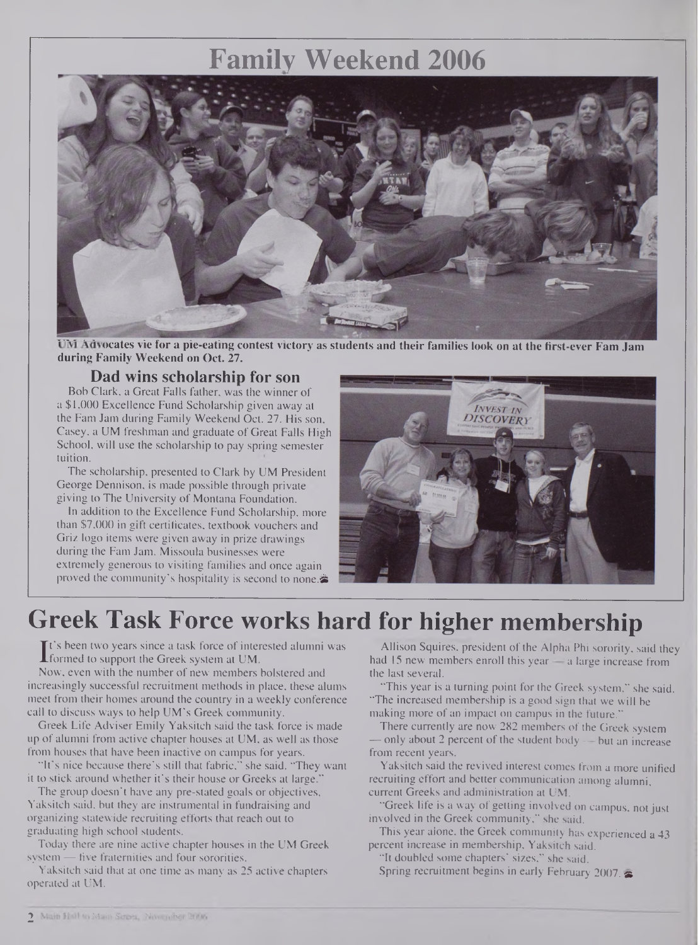### **Family Weekend 2006**



UM Advocates vie for a pie-eating contest victory as students and their families look on at the first-ever Fam Jam **during Family Weekend on Oct. 27.**

### **Dad wins scholarship for son**

Bob Clark, a Great Falls father, was the winner of a \$1,000 Excellence Fund Scholarship given away at the Fam Jam during Family Weekend Oct. 27. His son, Casey, a UM freshman and graduate of Great Falls High School, will use the scholarship to pay spring semester tuition.

The scholarship, presented to Clark by UM President George Dennison, is made possible through private giving to The University of Montana Foundation.

In addition to the Excellence Fund Scholarship, more than \$7,000 in gift certificates, textbook vouchers and Griz logo items were given away in prize drawings during the Fam Jam. Missoula businesses were extremely generous to visiting families and once again proved the community's hospitality is second to none. $\blacktriangleright$ 



### **Greek Task Force works hard for higher membership**

It s been two years since a task force of inter<br>formed to support the Greek system at UM.<br>Now leven with the number of new members. t's been two years since a task force of interested alumni was

Now, even with the number of new members bolstered and increasingly successful recruitment methods in place, these alums meet from their homes around the country in a weekly conference call to discuss ways to help UM's Greek community.

Greek Life Adviser Emily Yaksitch said the task force is made up of alumni from active chapter houses at UM, as well as those from houses that have been inactive on campus for years.

"It's nice because there's still that fabric," she said. "They want it to stick around whether it's their house or Greeks at large."

The group doesn't have any pre-stated goals or objectives, Yaksitch said, but they are instrumental in fundraising and organizing statewide recruiting efforts that reach out to graduating high school students.

Today there are nine active chapter houses in the UM Greek system - five fraternities and four sororities.

Yaksitch said that at one time as many as 25 active chapters operated at UM.

Allison Squires, president of the Alpha Phi sorority, said they had 15 new members enroll this year — a large increase from the last several.

"This year is a turning point for the Greek system," she said. "The increased membership is a good sign that we will be making more of an impact on campus in the future."

There currently are now 282 members of the Greek system only about 2 percent of the student body  $-$  but an increase from recent years.

Yaksitch said the revived interest comes from a more unified recruiting effort and better communication among alumni, current Greeks and administration at UM.

"Greek life is a way of getting involved on campus, not just involved in the Greek community," she said.

This year alone, the Greek community has experienced a 43 percent increase in membership, Yaksitch said.

"It doubled some chapters' sizes," she said.

Spring recruitment begins in early February 2007.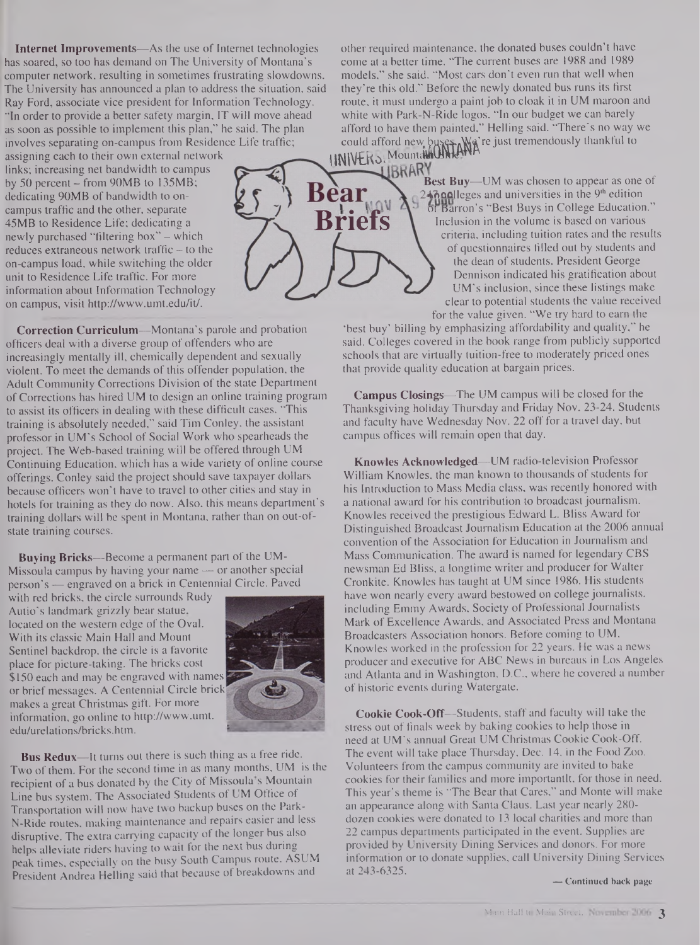**Internet Improvements—**As the use of Internet technologies has soared, so too has demand on The University of Montana's computer network, resulting in sometimes frustrating slowdowns. The University has announced a plan to address the situation, said Ray Ford, associate vice president for Information Technology. "In order to provide a better safety margin, IT will move ahead as soon as possible to implement this plan," he said. The plan involves separating on-campus from Residence Life traffic;

assigning each to their own external network links; increasing net bandwidth to campus by 50 percent — from 90MB to 135MB; dedicating 90MB of bandwidth to oncampus traffic and the other, separate 45MB to Residence Life; dedicating a newly purchased "filtering box" - which reduces extraneous network traffic  $-$  to the on-campus load, while switching the older unit to Residence Life traffic. For more information about Information Technology on campus, visit <http://www.umt.edu/it/>.

**Correction Curriculum—**Montana's parole and probation officers deal with a diverse group of offenders who are increasingly mentally ill, chemically dependent and sexually violent. To meet the demands of this offender population, the Adult Community Corrections Division of the state Department of Corrections has hired UM to design an online training program to assist its officers in dealing with these difficult cases. "This training is absolutely needed," said Tim Conley, the assistant professor in UM's School of Social Work who spearheads the project. The Web-based training will be offered through UM Continuing Education, which has a wide variety of online course offerings. Conley said the project should save taxpayer dollars because officers won't have to travel to other cities and stay in hotels for training as they do now. Also, this means department's training dollars will be spent in Montana, rather than on out-ofstate training courses.

**Buying Bricks—**Become a permanent part of the UM-Missoula campus by having your name — or another special person's — engraved on a brick in Centennial Circle. Paved

with red bricks, the circle surrounds Rudy Autio's landmark grizzly bear statue, located on the western edge of the Oval. With its classic Main Hall and Mount Sentinel backdrop, the circle is a favorite place for picture-taking. The bricks cost \$150 each and may be engraved with names or brief messages. A Centennial Circle brick makes a great Christmas gift. For more information, go online to <http://www.umt>. edu/urelations/bricks.htm.



**Bus Redux—**It turns out there is such thing as a free ride. Two of them. For the second time in as many months, UM is the recipient of a bus donated by the City of Missoula s Mountain Line bus system. The Associated Students of UM Office of Transportation will now have two backup buses on the **Park-N-Ride** routes, making maintenance and repairs easier and less disruptive. The extra carrying capacity of the longer bus also helps alleviate riders having to wait for the next bus during peak times, especially on the busy South Campus route. ASUM President Andrea Helling said that because of breakdowns and

other required maintenance, the donated buses couldn't have come at a better time. "The current buses are 1988 and 1989 models," she said. "Most cars don't even run that well when they're this old." Before the newly donated bus runs its first route, it must undergo a paint job to cloak it in UM maroon and white with Park-N-Ride logos. "In our budget we can barely afford to have them painted," Helling said. "There's no way we could afford new **UNIVERS**. Mounta **buses. Wa** re just tremendously thankful to

**Briefs**

Bear

**BRAKY**<br>**Best Buy—UM** was chosen to appear as one of  $47$  and universities in the 9<sup>th</sup> edition or Barron's "Best Buys in College Education." Inclusion in the volume is based on various criteria, including tuition rates and the results of questionnaires filled out by students and the dean of students. President George Dennison indicated his gratification about UM's inclusion, since these listings make clear to potential students the value received for the value given. "We try hard to earn the

'best buy' billing by emphasizing affordability and quality," he said. Colleges covered in the book range from publicly supported schools that are virtually tuition-free to moderately priced ones that provide quality education at bargain prices.

**Campus Closings—**The UM campus will be closed for the Thanksgiving holiday Thursday and Friday Nov. 23-24. Students and faculty have Wednesday Nov. 22 off for a travel day, but campus offices will remain open that day.

**Knowles Acknowledged—**UM radio-television Professor William Knowles, the man known to thousands of students for his Introduction to Mass Media class, was recently honored with a national award for his contribution to broadcast journalism. Knowles received the prestigious Edward L. Bliss Award for Distinguished Broadcast Journalism Education at the 2006 annual convention of the Association for Education in Journalism and Mass Communication. The award is named for legendary CBS newsman Ed Bliss, a longtime writer and producer for Walter Cronkite. Knowles has taught at UM since 1986. His students have won nearly every award bestowed on college journalists, including Emmy Awards, Society of Professional Journalists Mark of Excellence Awards, and Associated Press and Montana Broadcasters Association honors. Before coming to UM. Knowles worked in the profession for 22 years. He was a news producer and executive for ABC News in bureaus in Los Angeles and Atlanta and in Washington, D.C., where he covered a number of historic events during Watergate.

**Cookie Cook-Off—**Students, staff and faculty will take the stress out of finals week by baking cookies to help those in need at UM's annual Great UM Christmas Cookie Cook-Off. The event will take place Thursday, Dec. 14, in the Food Zoo. Volunteers from the campus community are invited to bake cookies for their families and more importantlt, for those in need. This year's theme is "The Bear that Cares," and Monte will make an appearance along with Santa Claus. Last year nearly 280 dozen cookies were donated to 13 local charities and more than 22 campus departments participated in the event. Supplies are provided by University Dining Services and donors. For more information or to donate supplies, call University Dining Services at 243-6325.

**— Continued back page**